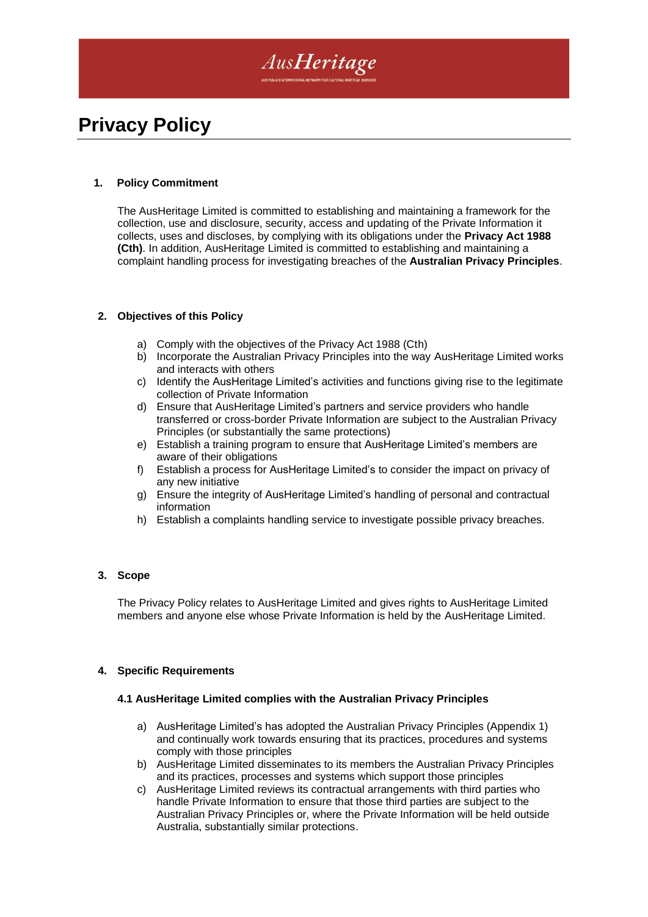

# **Privacy Policy**

### **1. Policy Commitment**

The AusHeritage Limited is committed to establishing and maintaining a framework for the collection, use and disclosure, security, access and updating of the Private Information it collects, uses and discloses, by complying with its obligations under the **Privacy Act 1988 (Cth)**. In addition, AusHeritage Limited is committed to establishing and maintaining a complaint handling process for investigating breaches of the **Australian Privacy Principles**.

#### **2. Objectives of this Policy**

- a) Comply with the objectives of the Privacy Act 1988 (Cth)
- b) Incorporate the Australian Privacy Principles into the way AusHeritage Limited works and interacts with others
- c) Identify the AusHeritage Limited's activities and functions giving rise to the legitimate collection of Private Information
- d) Ensure that AusHeritage Limited's partners and service providers who handle transferred or cross-border Private Information are subject to the Australian Privacy Principles (or substantially the same protections)
- e) Establish a training program to ensure that AusHeritage Limited's members are aware of their obligations
- f) Establish a process for AusHeritage Limited's to consider the impact on privacy of any new initiative
- g) Ensure the integrity of AusHeritage Limited's handling of personal and contractual information
- h) Establish a complaints handling service to investigate possible privacy breaches.

#### **3. Scope**

The Privacy Policy relates to AusHeritage Limited and gives rights to AusHeritage Limited members and anyone else whose Private Information is held by the AusHeritage Limited.

#### **4. Specific Requirements**

#### **4.1 AusHeritage Limited complies with the Australian Privacy Principles**

- a) AusHeritage Limited's has adopted the Australian Privacy Principles (Appendix 1) and continually work towards ensuring that its practices, procedures and systems comply with those principles
- b) AusHeritage Limited disseminates to its members the Australian Privacy Principles and its practices, processes and systems which support those principles
- c) AusHeritage Limited reviews its contractual arrangements with third parties who handle Private Information to ensure that those third parties are subject to the Australian Privacy Principles or, where the Private Information will be held outside Australia, substantially similar protections.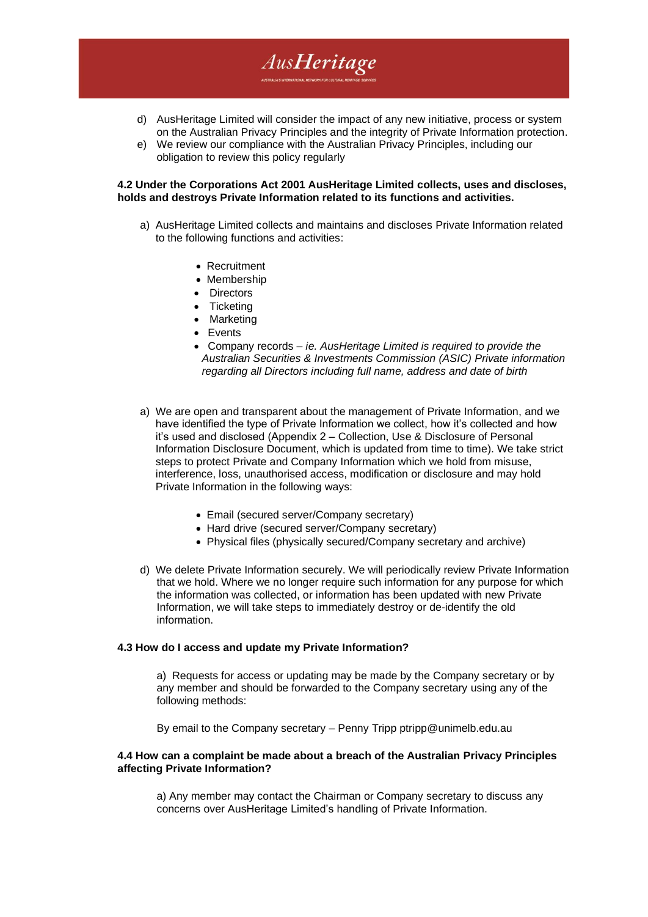- d) AusHeritage Limited will consider the impact of any new initiative, process or system on the Australian Privacy Principles and the integrity of Private Information protection.
- e) We review our compliance with the Australian Privacy Principles, including our obligation to review this policy regularly

AusHeritage

#### **4.2 Under the Corporations Act 2001 AusHeritage Limited collects, uses and discloses, holds and destroys Private Information related to its functions and activities.**

- a) AusHeritage Limited collects and maintains and discloses Private Information related to the following functions and activities:
	- Recruitment
	- Membership
	- Directors
	- Ticketing
	- Marketing
	- Events
	- Company records *ie. AusHeritage Limited is required to provide the Australian Securities & Investments Commission (ASIC) Private information regarding all Directors including full name, address and date of birth*
- a) We are open and transparent about the management of Private Information, and we have identified the type of Private Information we collect, how it's collected and how it's used and disclosed (Appendix 2 – Collection, Use & Disclosure of Personal Information Disclosure Document, which is updated from time to time). We take strict steps to protect Private and Company Information which we hold from misuse, interference, loss, unauthorised access, modification or disclosure and may hold Private Information in the following ways:
	- Email (secured server/Company secretary)
	- Hard drive (secured server/Company secretary)
	- Physical files (physically secured/Company secretary and archive)
- d) We delete Private Information securely. We will periodically review Private Information that we hold. Where we no longer require such information for any purpose for which the information was collected, or information has been updated with new Private Information, we will take steps to immediately destroy or de-identify the old information.

#### **4.3 How do I access and update my Private Information?**

a) Requests for access or updating may be made by the Company secretary or by any member and should be forwarded to the Company secretary using any of the following methods:

By email to the Company secretary – Penny Tripp ptripp@unimelb.edu.au

#### **4.4 How can a complaint be made about a breach of the Australian Privacy Principles affecting Private Information?**

a) Any member may contact the Chairman or Company secretary to discuss any concerns over AusHeritage Limited's handling of Private Information.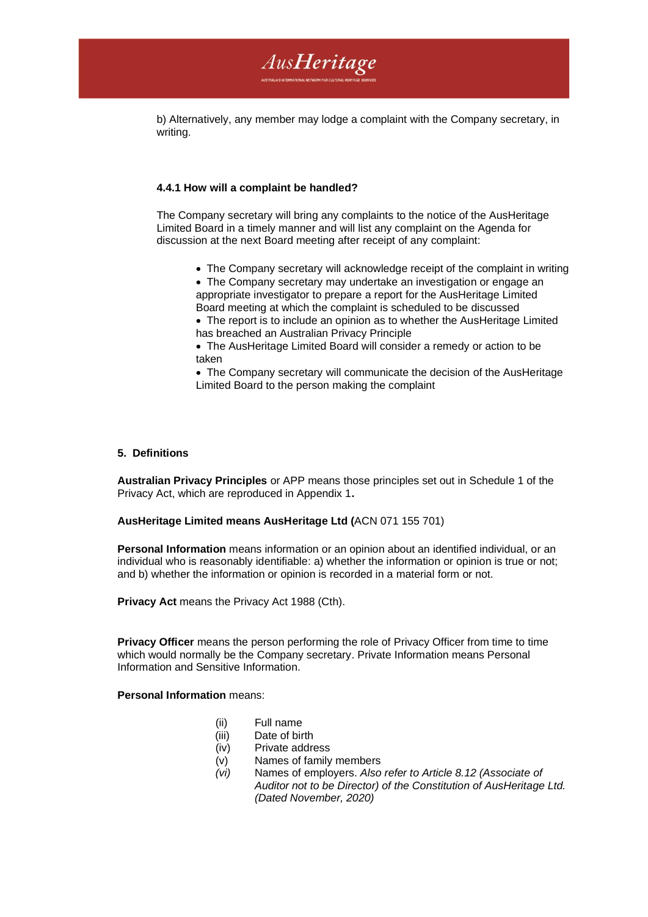

b) Alternatively, any member may lodge a complaint with the Company secretary, in writing.

#### **4.4.1 How will a complaint be handled?**

The Company secretary will bring any complaints to the notice of the AusHeritage Limited Board in a timely manner and will list any complaint on the Agenda for discussion at the next Board meeting after receipt of any complaint:

- The Company secretary will acknowledge receipt of the complaint in writing
- The Company secretary may undertake an investigation or engage an appropriate investigator to prepare a report for the AusHeritage Limited Board meeting at which the complaint is scheduled to be discussed
- The report is to include an opinion as to whether the AusHeritage Limited has breached an Australian Privacy Principle
- The AusHeritage Limited Board will consider a remedy or action to be taken

• The Company secretary will communicate the decision of the AusHeritage Limited Board to the person making the complaint

#### **5. Definitions**

**Australian Privacy Principles** or APP means those principles set out in Schedule 1 of the Privacy Act, which are reproduced in Appendix 1**.** 

#### **AusHeritage Limited means AusHeritage Ltd (**ACN 071 155 701)

**Personal Information** means information or an opinion about an identified individual, or an individual who is reasonably identifiable: a) whether the information or opinion is true or not; and b) whether the information or opinion is recorded in a material form or not.

**Privacy Act** means the Privacy Act 1988 (Cth).

**Privacy Officer** means the person performing the role of Privacy Officer from time to time which would normally be the Company secretary. Private Information means Personal Information and Sensitive Information.

**Personal Information** means:

- (ii) Full name
- (iii) Date of birth
- (iv) Private address
- (v) Names of family members
- *(vi)* Names of employers. *Also refer to Article 8.12 (Associate of Auditor not to be Director) of the Constitution of AusHeritage Ltd. (Dated November, 2020)*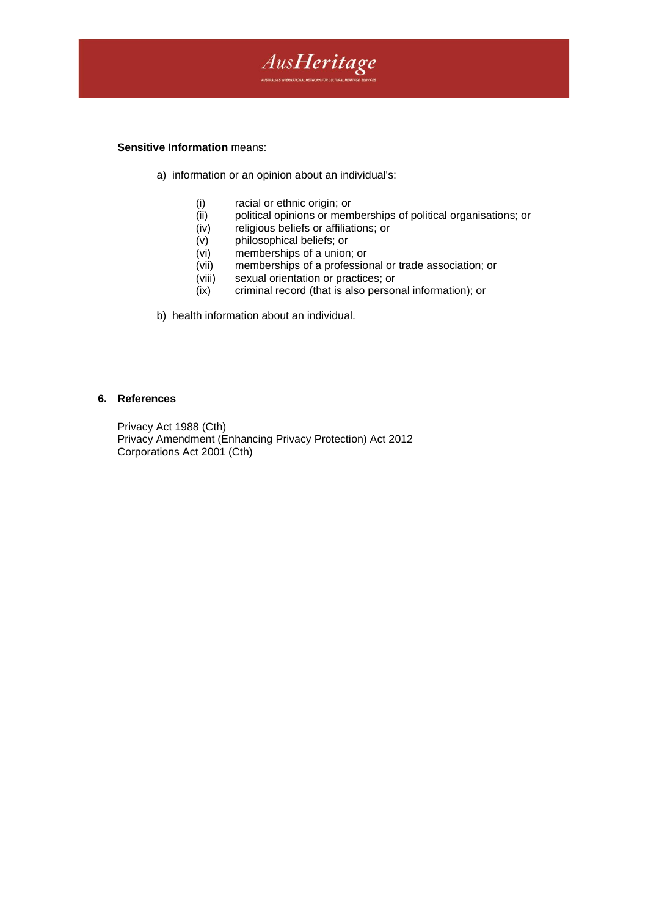

#### **Sensitive Information** means:

- a) information or an opinion about an individual's:
	-
	- (i) racial or ethnic origin; or<br>(ii) political opinions or mem political opinions or memberships of political organisations; or
	- (iv) religious beliefs or affiliations; or
	- (v) philosophical beliefs; or
	- (vi) memberships of a union; or
	- (vii) memberships of a professional or trade association; or
	- (viii) sexual orientation or practices; or
	- (ix) criminal record (that is also personal information); or
- b) health information about an individual.

#### **6. References**

Privacy Act 1988 (Cth) Privacy Amendment (Enhancing Privacy Protection) Act 2012 Corporations Act 2001 (Cth)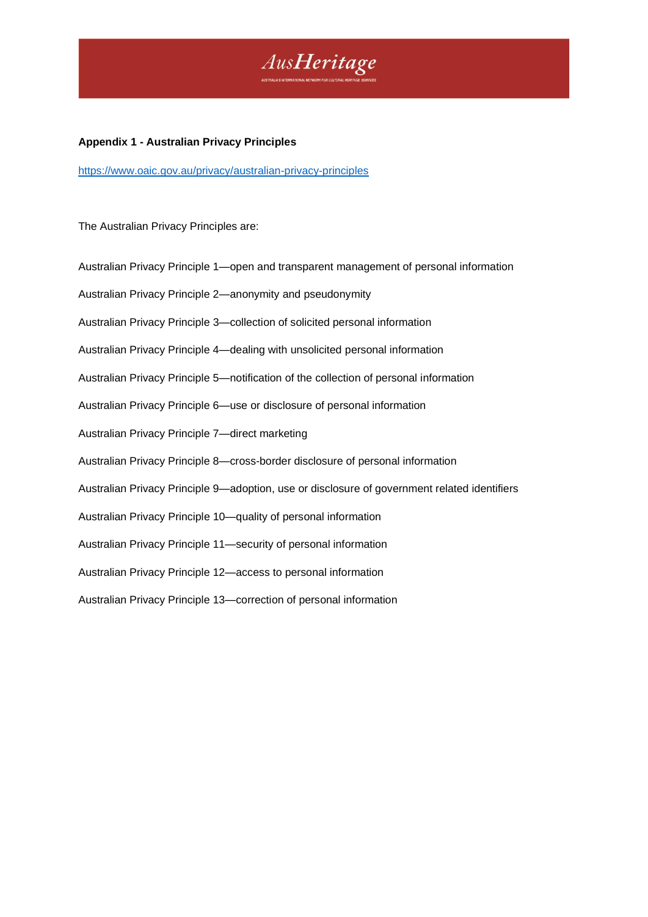

#### **Appendix 1 - Australian Privacy Principles**

<https://www.oaic.gov.au/privacy/australian-privacy-principles>

The Australian Privacy Principles are:

Australian Privacy Principle 1—open and transparent management of personal information Australian Privacy Principle 2—anonymity and pseudonymity Australian Privacy Principle 3—collection of solicited personal information Australian Privacy Principle 4—dealing with unsolicited personal information Australian Privacy Principle 5—notification of the collection of personal information Australian Privacy Principle 6—use or disclosure of personal information Australian Privacy Principle 7—direct marketing Australian Privacy Principle 8—cross-border disclosure of personal information Australian Privacy Principle 9—adoption, use or disclosure of government related identifiers Australian Privacy Principle 10—quality of personal information Australian Privacy Principle 11—security of personal information Australian Privacy Principle 12—access to personal information Australian Privacy Principle 13—correction of personal information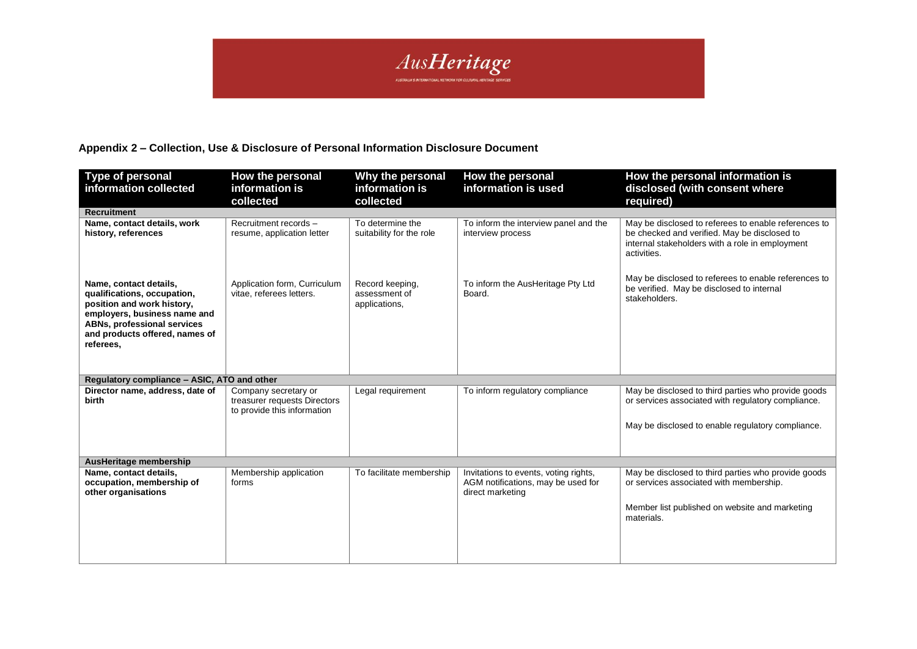

## **Appendix 2 – Collection, Use & Disclosure of Personal Information Disclosure Document**

| <b>Type of personal</b><br>information collected                                                                                                                                                         | How the personal<br>information is<br>collected                                     | Why the personal<br>information is<br>collected   | How the personal<br>information is used                                                         | How the personal information is<br>disclosed (with consent where<br>required)                                                                                          |
|----------------------------------------------------------------------------------------------------------------------------------------------------------------------------------------------------------|-------------------------------------------------------------------------------------|---------------------------------------------------|-------------------------------------------------------------------------------------------------|------------------------------------------------------------------------------------------------------------------------------------------------------------------------|
| <b>Recruitment</b>                                                                                                                                                                                       |                                                                                     |                                                   |                                                                                                 |                                                                                                                                                                        |
| Name, contact details, work<br>history, references                                                                                                                                                       | Recruitment records -<br>resume, application letter                                 | To determine the<br>suitability for the role      | To inform the interview panel and the<br>interview process                                      | May be disclosed to referees to enable references to<br>be checked and verified. May be disclosed to<br>internal stakeholders with a role in employment<br>activities. |
| Name, contact details,<br>qualifications, occupation,<br>position and work history,<br>employers, business name and<br><b>ABNs, professional services</b><br>and products offered, names of<br>referees. | Application form, Curriculum<br>vitae, referees letters.                            | Record keeping,<br>assessment of<br>applications, | To inform the AusHeritage Pty Ltd<br>Board.                                                     | May be disclosed to referees to enable references to<br>be verified. May be disclosed to internal<br>stakeholders.                                                     |
| Regulatory compliance - ASIC, ATO and other                                                                                                                                                              |                                                                                     |                                                   |                                                                                                 |                                                                                                                                                                        |
| Director name, address, date of<br>birth                                                                                                                                                                 | Company secretary or<br>treasurer requests Directors<br>to provide this information | Legal requirement                                 | To inform regulatory compliance                                                                 | May be disclosed to third parties who provide goods<br>or services associated with regulatory compliance.<br>May be disclosed to enable regulatory compliance.         |
|                                                                                                                                                                                                          |                                                                                     |                                                   |                                                                                                 |                                                                                                                                                                        |
| AusHeritage membership                                                                                                                                                                                   |                                                                                     |                                                   |                                                                                                 |                                                                                                                                                                        |
| Name, contact details,<br>occupation, membership of<br>other organisations                                                                                                                               | Membership application<br>forms                                                     | To facilitate membership                          | Invitations to events, voting rights,<br>AGM notifications, may be used for<br>direct marketing | May be disclosed to third parties who provide goods<br>or services associated with membership.<br>Member list published on website and marketing<br>materials.         |
|                                                                                                                                                                                                          |                                                                                     |                                                   |                                                                                                 |                                                                                                                                                                        |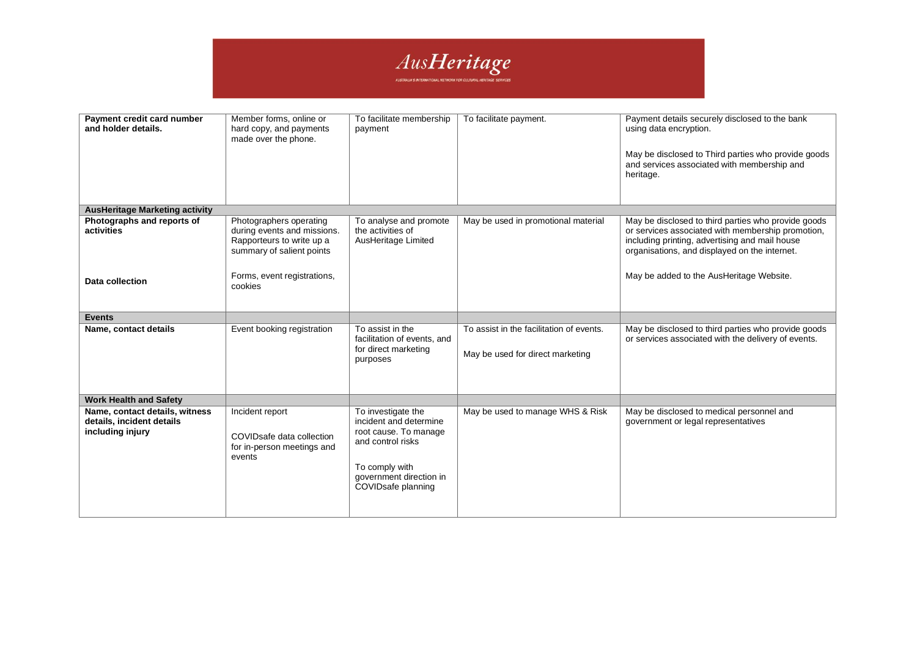

| Payment credit card number<br>and holder details.                               | Member forms, online or<br>hard copy, and payments<br>made over the phone.                                                                                 | To facilitate membership<br>payment                                                                                                                           | To facilitate payment.                                                       | Payment details securely disclosed to the bank<br>using data encryption.<br>May be disclosed to Third parties who provide goods<br>and services associated with membership and<br>heritage.                                                             |
|---------------------------------------------------------------------------------|------------------------------------------------------------------------------------------------------------------------------------------------------------|---------------------------------------------------------------------------------------------------------------------------------------------------------------|------------------------------------------------------------------------------|---------------------------------------------------------------------------------------------------------------------------------------------------------------------------------------------------------------------------------------------------------|
| <b>AusHeritage Marketing activity</b>                                           |                                                                                                                                                            |                                                                                                                                                               |                                                                              |                                                                                                                                                                                                                                                         |
| Photographs and reports of<br>activities<br>Data collection                     | Photographers operating<br>during events and missions.<br>Rapporteurs to write up a<br>summary of salient points<br>Forms, event registrations,<br>cookies | To analyse and promote<br>the activities of<br>AusHeritage Limited                                                                                            | May be used in promotional material                                          | May be disclosed to third parties who provide goods<br>or services associated with membership promotion,<br>including printing, advertising and mail house<br>organisations, and displayed on the internet.<br>May be added to the AusHeritage Website. |
| <b>Events</b>                                                                   |                                                                                                                                                            |                                                                                                                                                               |                                                                              |                                                                                                                                                                                                                                                         |
| Name, contact details                                                           | Event booking registration                                                                                                                                 | To assist in the<br>facilitation of events, and<br>for direct marketing<br>purposes                                                                           | To assist in the facilitation of events.<br>May be used for direct marketing | May be disclosed to third parties who provide goods<br>or services associated with the delivery of events.                                                                                                                                              |
| <b>Work Health and Safety</b>                                                   |                                                                                                                                                            |                                                                                                                                                               |                                                                              |                                                                                                                                                                                                                                                         |
| Name, contact details, witness<br>details, incident details<br>including injury | Incident report<br>COVIDsafe data collection<br>for in-person meetings and<br>events                                                                       | To investigate the<br>incident and determine<br>root cause. To manage<br>and control risks<br>To comply with<br>government direction in<br>COVIDsafe planning | May be used to manage WHS & Risk                                             | May be disclosed to medical personnel and<br>government or legal representatives                                                                                                                                                                        |